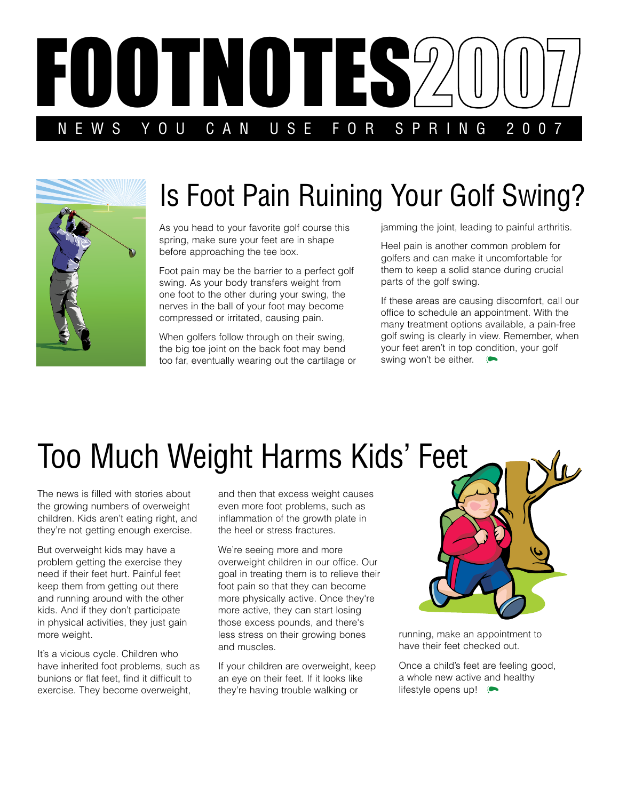



## Is Foot Pain Ruining Your Golf Swing?

As you head to your favorite golf course this spring, make sure your feet are in shape before approaching the tee box.

Foot pain may be the barrier to a perfect golf swing. As your body transfers weight from one foot to the other during your swing, the nerves in the ball of your foot may become compressed or irritated, causing pain.

When golfers follow through on their swing, the big toe joint on the back foot may bend too far, eventually wearing out the cartilage or jamming the joint, leading to painful arthritis.

Heel pain is another common problem for golfers and can make it uncomfortable for them to keep a solid stance during crucial parts of the golf swing.

If these areas are causing discomfort, call our office to schedule an appointment. With the many treatment options available, a pain-free golf swing is clearly in view. Remember, when your feet aren't in top condition, your golf swing won't be either.  $\bullet$ 

## Too Much Weight Harms Kids' Feet

The news is filled with stories about the growing numbers of overweight children. Kids aren't eating right, and they're not getting enough exercise.

But overweight kids may have a problem getting the exercise they need if their feet hurt. Painful feet keep them from getting out there and running around with the other kids. And if they don't participate in physical activities, they just gain more weight.

It's a vicious cycle. Children who have inherited foot problems, such as bunions or flat feet, find it difficult to exercise. They become overweight,

and then that excess weight causes even more foot problems, such as inflammation of the growth plate in the heel or stress fractures.

We're seeing more and more overweight children in our office. Our goal in treating them is to relieve their foot pain so that they can become more physically active. Once they're more active, they can start losing those excess pounds, and there's less stress on their growing bones and muscles.

If your children are overweight, keep an eye on their feet. If it looks like they're having trouble walking or



running, make an appointment to have their feet checked out.

Once a child's feet are feeling good, a whole new active and healthy lifestyle opens up!